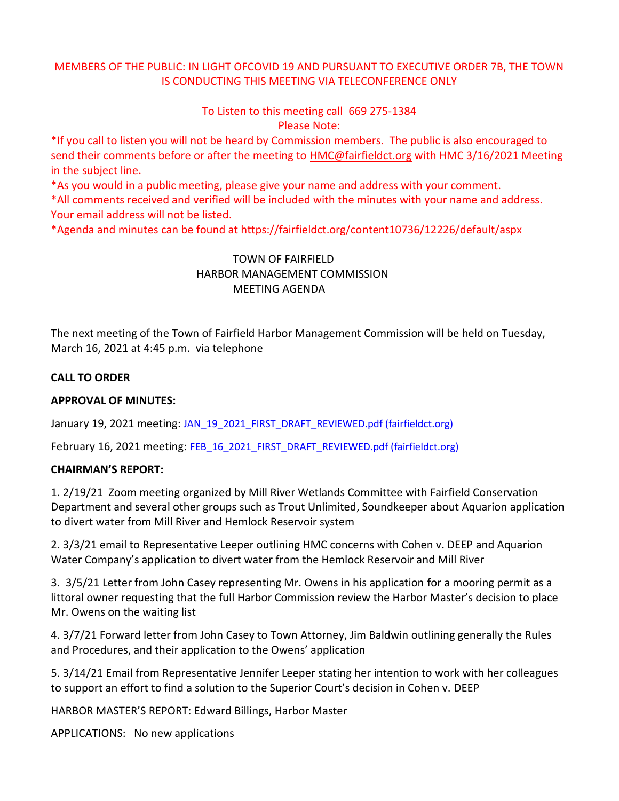# MEMBERS OF THE PUBLIC: IN LIGHT OFCOVID 19 AND PURSUANT TO EXECUTIVE ORDER 7B, THE TOWN IS CONDUCTING THIS MEETING VIA TELECONFERENCE ONLY

## To Listen to this meeting call 669 275-1384 Please Note:

\*If you call to listen you will not be heard by Commission members. The public is also encouraged to send their comments before or after the meeting to [HMC@fairfieldct.org](mailto:HMC@fairfieldct.org) with HMC 3/16/2021 Meeting in the subject line.

\*As you would in a public meeting, please give your name and address with your comment.

\*All comments received and verified will be included with the minutes with your name and address. Your email address will not be listed.

\*Agenda and minutes can be found at https://fairfieldct.org/content10736/12226/default/aspx

# TOWN OF FAIRFIELD HARBOR MANAGEMENT COMMISSION MEETING AGENDA

The next meeting of the Town of Fairfield Harbor Management Commission will be held on Tuesday, March 16, 2021 at 4:45 p.m. via telephone

## **CALL TO ORDER**

## **APPROVAL OF MINUTES:**

January 19, 2021 meeting: JAN 19 2021 FIRST\_DRAFT\_REVIEWED.pdf (fairfieldct.org)

February 16, 2021 meeting: [FEB\\_16\\_2021\\_FIRST\\_DRAFT\\_REVIEWED.pdf \(fairfieldct.org\)](https://www.fairfieldct.org/filestorage/10736/12067/17037/66861/94822/105259/FEB_16_2021_FIRST_DRAFT_REVIEWED.pdf)

#### **CHAIRMAN'S REPORT:**

1. 2/19/21 Zoom meeting organized by Mill River Wetlands Committee with Fairfield Conservation Department and several other groups such as Trout Unlimited, Soundkeeper about Aquarion application to divert water from Mill River and Hemlock Reservoir system

2. 3/3/21 email to Representative Leeper outlining HMC concerns with Cohen v. DEEP and Aquarion Water Company's application to divert water from the Hemlock Reservoir and Mill River

3. 3/5/21 Letter from John Casey representing Mr. Owens in his application for a mooring permit as a littoral owner requesting that the full Harbor Commission review the Harbor Master's decision to place Mr. Owens on the waiting list

4. 3/7/21 Forward letter from John Casey to Town Attorney, Jim Baldwin outlining generally the Rules and Procedures, and their application to the Owens' application

5. 3/14/21 Email from Representative Jennifer Leeper stating her intention to work with her colleagues to support an effort to find a solution to the Superior Court's decision in Cohen v. DEEP

HARBOR MASTER'S REPORT: Edward Billings, Harbor Master

APPLICATIONS: No new applications